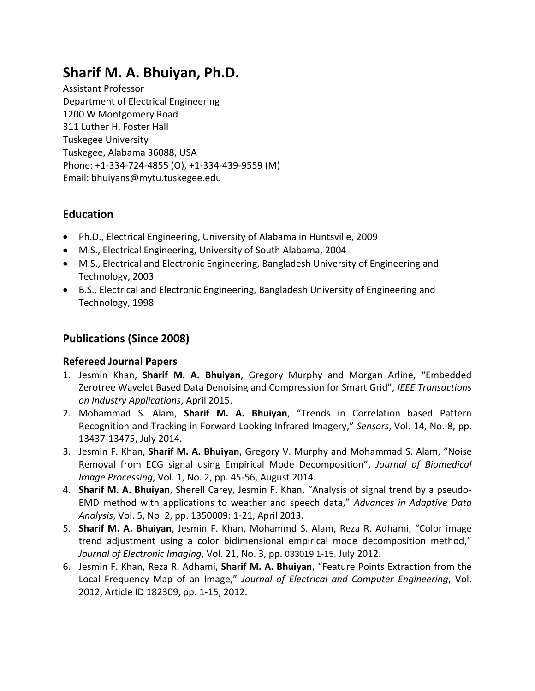# **Sharif M. A. Bhuiyan, Ph.D.**

Assistant Professor Department of Electrical Engineering 1200 W Montgomery Road 311 Luther H. Foster Hall Tuskegee University Tuskegee, Alabama 36088, USA Phone: +1-334-724-4855 (O), +1-334-439-9559 (M) Email: bhuiyans@mytu.tuskegee.edu

## **Education**

- Ph.D., Electrical Engineering, University of Alabama in Huntsville, 2009
- M.S., Electrical Engineering, University of South Alabama, 2004
- M.S., Electrical and Electronic Engineering, Bangladesh University of Engineering and Technology, 2003
- B.S., Electrical and Electronic Engineering, Bangladesh University of Engineering and Technology, 1998

## **Publications (Since 2008)**

#### **Refereed Journal Papers**

- 1. Jesmin Khan, **Sharif M. A. Bhuiyan**, Gregory Murphy and Morgan Arline, "Embedded Zerotree Wavelet Based Data Denoising and Compression for Smart Grid", *IEEE Transactions on Industry Applications*, April 2015.
- 2. Mohammad S. Alam, **Sharif M. A. Bhuiyan**, "Trends in Correlation based Pattern Recognition and Tracking in Forward Looking Infrared Imagery," *Sensors*, Vol. 14, No. 8, pp. 13437-13475, July 2014.
- 3. Jesmin F. Khan, **Sharif M. A. Bhuiyan**, Gregory V. Murphy and Mohammad S. Alam, "Noise Removal from ECG signal using Empirical Mode Decomposition", *Journal of Biomedical Image Processing*, Vol. 1, No. 2, pp. 45-56, August 2014.
- 4. **Sharif M. A. Bhuiyan**, Sherell Carey, Jesmin F. Khan, "Analysis of signal trend by a pseudo-EMD method with applications to weather and speech data," *Advances in Adaptive Data Analysis*, Vol. 5, No. 2, pp. 1350009: 1-21, April 2013.
- 5. **Sharif M. A. Bhuiyan**, Jesmin F. Khan, Mohammd S. Alam, Reza R. Adhami, "Color image trend adjustment using a color bidimensional empirical mode decomposition method," *Journal of Electronic Imaging*, Vol. 21, No. 3, pp. 033019:1-15, July 2012.
- 6. Jesmin F. Khan, Reza R. Adhami, **Sharif M. A. Bhuiyan**, "Feature Points Extraction from the Local Frequency Map of an Image," *Journal of Electrical and Computer Engineering*, Vol. 2012, Article ID 182309, pp. 1-15, 2012.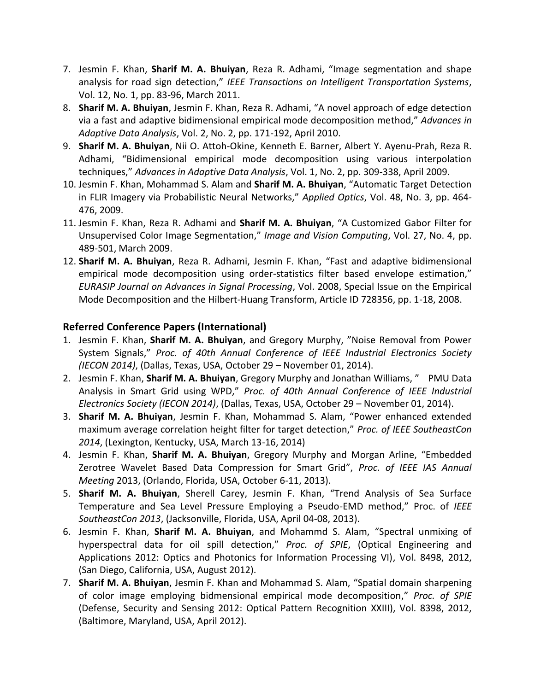- 7. Jesmin F. Khan, **Sharif M. A. Bhuiyan**, Reza R. Adhami, "Image segmentation and shape analysis for road sign detection," *IEEE Transactions on Intelligent Transportation Systems*, Vol. 12, No. 1, pp. 83-96, March 2011.
- 8. **Sharif M. A. Bhuiyan**, Jesmin F. Khan, Reza R. Adhami, "A novel approach of edge detection via a fast and adaptive bidimensional empirical mode decomposition method," *Advances in Adaptive Data Analysis*, Vol. 2, No. 2, pp. 171-192, April 2010.
- 9. **Sharif M. A. Bhuiyan**, Nii O. Attoh-Okine, Kenneth E. Barner, Albert Y. Ayenu-Prah, Reza R. Adhami, "Bidimensional empirical mode decomposition using various interpolation techniques," *Advances in Adaptive Data Analysis*, Vol. 1, No. 2, pp. 309-338, April 2009.
- 10. Jesmin F. Khan, Mohammad S. Alam and **Sharif M. A. Bhuiyan**, "Automatic Target Detection in FLIR Imagery via Probabilistic Neural Networks," *Applied Optics*, Vol. 48, No. 3, pp. 464- 476, 2009.
- 11. Jesmin F. Khan, Reza R. Adhami and **Sharif M. A. Bhuiyan**, "A Customized Gabor Filter for Unsupervised Color Image Segmentation," *Image and Vision Computing*, Vol. 27, No. 4, pp. 489-501, March 2009.
- 12. **Sharif M. A. Bhuiyan**, Reza R. Adhami, Jesmin F. Khan, "Fast and adaptive bidimensional empirical mode decomposition using order-statistics filter based envelope estimation," *EURASIP Journal on Advances in Signal Processing*, Vol. 2008, Special Issue on the Empirical Mode Decomposition and the Hilbert-Huang Transform, Article ID 728356, pp. 1-18, 2008.

#### **Referred Conference Papers (International)**

- 1. Jesmin F. Khan, **Sharif M. A. Bhuiyan**, and Gregory Murphy, "Noise Removal from Power System Signals," *Proc. of 40th Annual Conference of IEEE Industrial Electronics Society (IECON 2014)*, (Dallas, Texas, USA, October 29 – November 01, 2014).
- 2. Jesmin F. Khan, **Sharif M. A. Bhuiyan**, Gregory Murphy and Jonathan Williams, " PMU Data Analysis in Smart Grid using WPD," *Proc. of 40th Annual Conference of IEEE Industrial Electronics Society (IECON 2014)*, (Dallas, Texas, USA, October 29 – November 01, 2014).
- 3. **Sharif M. A. Bhuiyan**, Jesmin F. Khan, Mohammad S. Alam, "Power enhanced extended maximum average correlation height filter for target detection," *Proc. of IEEE SoutheastCon 2014*, (Lexington, Kentucky, USA, March 13-16, 2014)
- 4. Jesmin F. Khan, **Sharif M. A. Bhuiyan**, Gregory Murphy and Morgan Arline, "Embedded Zerotree Wavelet Based Data Compression for Smart Grid", *Proc. of IEEE IAS Annual Meeting* 2013, (Orlando, Florida, USA, October 6-11, 2013).
- 5. **Sharif M. A. Bhuiyan**, Sherell Carey, Jesmin F. Khan, "Trend Analysis of Sea Surface Temperature and Sea Level Pressure Employing a Pseudo-EMD method," Proc. of *IEEE SoutheastCon 2013*, (Jacksonville, Florida, USA, April 04-08, 2013).
- 6. Jesmin F. Khan, **Sharif M. A. Bhuiyan**, and Mohammd S. Alam, "Spectral unmixing of hyperspectral data for oil spill detection," *Proc. of SPIE*, (Optical Engineering and Applications 2012: Optics and Photonics for Information Processing VI), Vol. 8498, 2012, (San Diego, California, USA, August 2012).
- 7. **Sharif M. A. Bhuiyan**, Jesmin F. Khan and Mohammad S. Alam, "Spatial domain sharpening of color image employing bidmensional empirical mode decomposition," *Proc. of SPIE* (Defense, Security and Sensing 2012: Optical Pattern Recognition XXIII), Vol. 8398, 2012, (Baltimore, Maryland, USA, April 2012).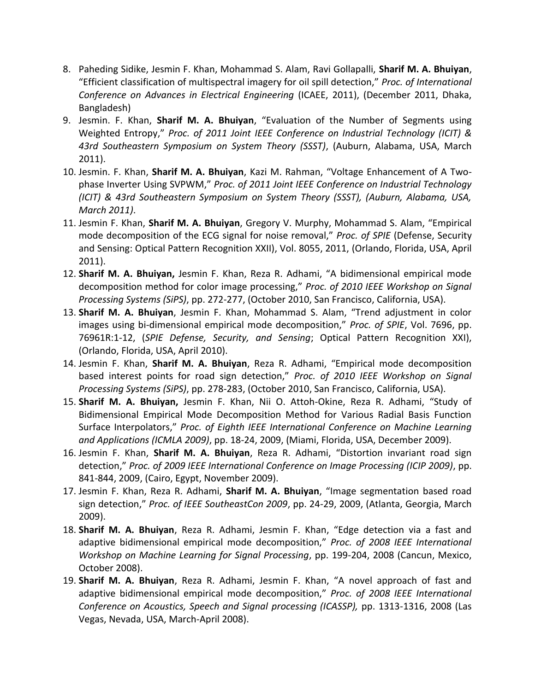- 8. Paheding Sidike, Jesmin F. Khan, Mohammad S. Alam, Ravi Gollapalli, **Sharif M. A. Bhuiyan**, "Efficient classification of multispectral imagery for oil spill detection," *Proc. of International Conference on Advances in Electrical Engineering* (ICAEE, 2011), (December 2011, Dhaka, Bangladesh)
- 9. Jesmin. F. Khan, **Sharif M. A. Bhuiyan**, "Evaluation of the Number of Segments using Weighted Entropy," *Proc. of 2011 Joint IEEE Conference on Industrial Technology (ICIT) & 43rd Southeastern Symposium on System Theory (SSST)*, (Auburn, Alabama, USA, March 2011).
- 10. Jesmin. F. Khan, **Sharif M. A. Bhuiyan**, Kazi M. Rahman, "Voltage Enhancement of A Twophase Inverter Using SVPWM," *Proc. of 2011 Joint IEEE Conference on Industrial Technology (ICIT) & 43rd Southeastern Symposium on System Theory (SSST), (Auburn, Alabama, USA, March 2011)*.
- 11. Jesmin F. Khan, **Sharif M. A. Bhuiyan**, Gregory V. Murphy, Mohammad S. Alam, "Empirical mode decomposition of the ECG signal for noise removal," *Proc. of SPIE* (Defense, Security and Sensing: Optical Pattern Recognition XXII), Vol. 8055, 2011, (Orlando, Florida, USA, April 2011).
- 12. **Sharif M. A. Bhuiyan,** Jesmin F. Khan, Reza R. Adhami, "A bidimensional empirical mode decomposition method for color image processing," *Proc. of 2010 IEEE Workshop on Signal Processing Systems (SiPS)*, pp. 272-277, (October 2010, San Francisco, California, USA).
- 13. **Sharif M. A. Bhuiyan**, Jesmin F. Khan, Mohammad S. Alam, "Trend adjustment in color images using bi-dimensional empirical mode decomposition," *Proc. of SPIE*, Vol. 7696, pp. 76961R:1-12, (*SPIE Defense, Security, and Sensing*; Optical Pattern Recognition XXI), (Orlando, Florida, USA, April 2010).
- 14. Jesmin F. Khan, **Sharif M. A. Bhuiyan**, Reza R. Adhami, "Empirical mode decomposition based interest points for road sign detection," *Proc. of 2010 IEEE Workshop on Signal Processing Systems (SiPS)*, pp. 278-283, (October 2010, San Francisco, California, USA).
- 15. **Sharif M. A. Bhuiyan,** Jesmin F. Khan, Nii O. Attoh-Okine, Reza R. Adhami, "Study of Bidimensional Empirical Mode Decomposition Method for Various Radial Basis Function Surface Interpolators," *Proc. of Eighth IEEE International Conference on Machine Learning and Applications (ICMLA 2009)*, pp. 18-24, 2009, (Miami, Florida, USA, December 2009).
- 16. Jesmin F. Khan, **Sharif M. A. Bhuiyan**, Reza R. Adhami, "Distortion invariant road sign detection," *Proc. of 2009 IEEE International Conference on Image Processing (ICIP 2009)*, pp. 841-844, 2009, (Cairo, Egypt, November 2009).
- 17. Jesmin F. Khan, Reza R. Adhami, **Sharif M. A. Bhuiyan**, "Image segmentation based road sign detection," *Proc. of IEEE SoutheastCon 2009*, pp. 24-29, 2009, (Atlanta, Georgia, March 2009).
- 18. **Sharif M. A. Bhuiyan**, Reza R. Adhami, Jesmin F. Khan, "Edge detection via a fast and adaptive bidimensional empirical mode decomposition," *Proc. of 2008 IEEE International Workshop on Machine Learning for Signal Processing*, pp. 199-204, 2008 (Cancun, Mexico, October 2008).
- 19. **Sharif M. A. Bhuiyan**, Reza R. Adhami, Jesmin F. Khan, "A novel approach of fast and adaptive bidimensional empirical mode decomposition," *Proc. of 2008 IEEE International Conference on Acoustics, Speech and Signal processing (ICASSP),* pp. 1313-1316, 2008 (Las Vegas, Nevada, USA, March-April 2008).